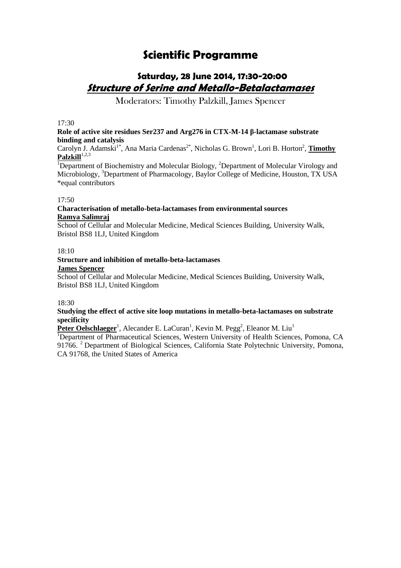# **Scientific Programme**

### **Saturday, 28 June 2014, 17:30-20:00 Structure of Serine and Metallo-Betalactamases**

Moderators: Timothy Palzkill, James Spencer

#### $17.30$

#### **Role of active site residues Ser237 and Arg276 in CTX-M-14 β-lactamase substrate binding and catalysis**

Carolyn J. Adamski<sup>1\*</sup>, Ana Maria Cardenas<sup>2\*</sup>, Nicholas G. Brown<sup>1</sup>, Lori B. Horton<sup>2</sup>, **Timothy** Palzkill<sup>1,2,3</sup>

<sup>1</sup>Department of Biochemistry and Molecular Biology, <sup>2</sup>Department of Molecular Virology and Microbiology, <sup>3</sup>Department of Pharmacology, Baylor College of Medicine, Houston, TX USA \*equal contributors

#### 17:50

#### **Characterisation of metallo-beta-lactamases from environmental sources Ramya Salimraj**

School of Cellular and Molecular Medicine, Medical Sciences Building, University Walk, Bristol BS8 1LJ, United Kingdom

#### $18:10$

#### **Structure and inhibition of metallo-beta-lactamases James Spencer**

School of Cellular and Molecular Medicine, Medical Sciences Building, University Walk, Bristol BS8 1LJ, United Kingdom

18:30

#### **Studying the effect of active site loop mutations in metallo-beta-lactamases on substrate specificity**

Peter Oelschlaeger<sup>1</sup>, Alecander E. LaCuran<sup>1</sup>, Kevin M. Pegg<sup>2</sup>, Eleanor M. Liu<sup>1</sup>

<sup>1</sup>Department of Pharmaceutical Sciences, Western University of Health Sciences, Pomona, CA 91766. <sup>2</sup> Department of Biological Sciences, California State Polytechnic University, Pomona, CA 91768, the United States of America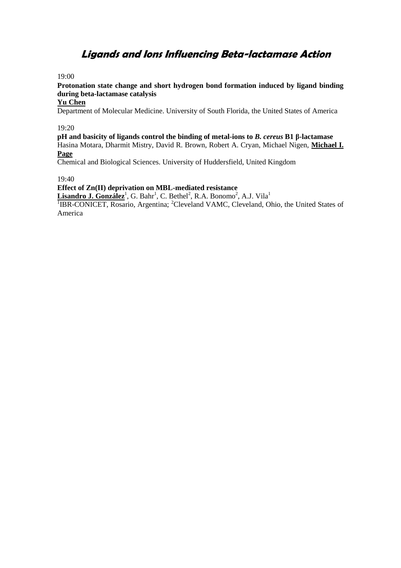### **Ligands and Ions Influencing Beta-lactamase Action**

19:00

**Protonation state change and short hydrogen bond formation induced by ligand binding during beta-lactamase catalysis**

#### **Yu Chen**

Department of Molecular Medicine. University of South Florida, the United States of America

19:20

**pH and basicity of ligands control the binding of metal-ions to** *B. cereus* **B1 β-lactamase** Hasina Motara, Dharmit Mistry, David R. Brown, Robert A. Cryan, Michael Nigen, **Michael I. Page**

Chemical and Biological Sciences. University of Huddersfield, United Kingdom

19:40

**Effect of Zn(II) deprivation on MBL-mediated resistance**

Lisandro J. González<sup>1</sup>, G. Bahr<sup>1</sup>, C. Bethel<sup>2</sup>, R.A. Bonomo<sup>2</sup>, A.J. Vila<sup>1</sup>

<sup>1</sup>IBR-CONICET, Rosario, Argentina; <sup>2</sup>Cleveland VAMC, Cleveland, Ohio, the United States of America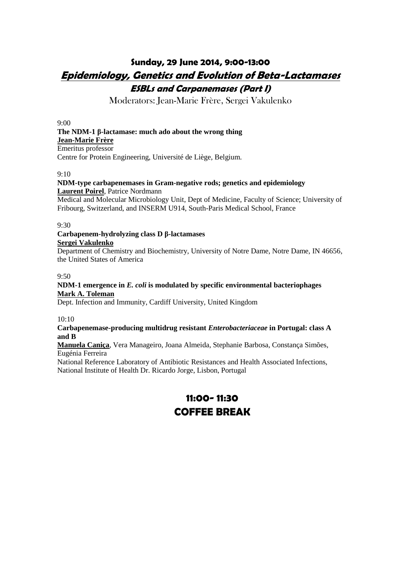### **Sunday, 29 June 2014, 9:00-13:00 Epidemiology, Genetics and Evolution of Beta-Lactamases ESBLs and Carpanemases (Part I)**

Moderators: Jean-Marie Frère, Sergei Vakulenko

 $9.00$ 

#### **The NDM-1 β-lactamase: much ado about the wrong thing Jean-Marie Frère**

Emeritus professor Centre for Protein Engineering, Université de Liège, Belgium.

#### 9:10

#### **NDM-type carbapenemases in Gram-negative rods; genetics and epidemiology Laurent Poirel**, Patrice Nordmann

Medical and Molecular Microbiology Unit, Dept of Medicine, Faculty of Science; University of Fribourg, Switzerland, and INSERM U914, South-Paris Medical School, France

#### 9:30

#### **Carbapenem-hydrolyzing class D β-lactamases Sergei Vakulenko**

Department of Chemistry and Biochemistry, University of Notre Dame, Notre Dame, IN 46656, the United States of America

#### 9:50

#### **NDM-1 emergence in** *E. coli* **is modulated by specific environmental bacteriophages Mark A. Toleman**

Dept. Infection and Immunity, Cardiff University, United Kingdom

10:10

#### **Carbapenemase-producing multidrug resistant** *Enterobacteriaceae* **in Portugal: class A and B**

#### **Manuela Caniça**, Vera Manageiro, Joana Almeida, Stephanie Barbosa, Constança Simões, Eugénia Ferreira

National Reference Laboratory of Antibiotic Resistances and Health Associated Infections, National Institute of Health Dr. Ricardo Jorge, Lisbon, Portugal

## **11:00- 11:30 COFFEE BREAK**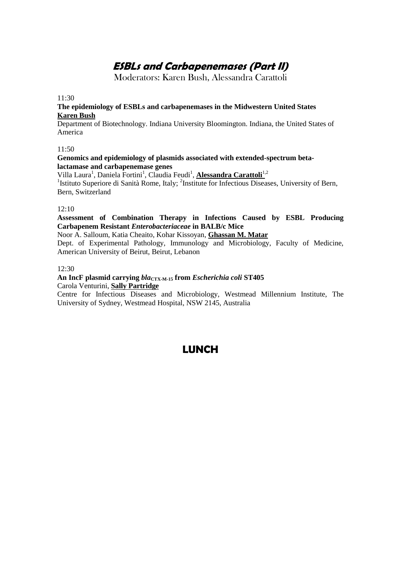# **ESBLs and Carbapenemases (Part II)**

Moderators: Karen Bush, Alessandra Carattoli

11:30

#### **The epidemiology of ESBLs and carbapenemases in the Midwestern United States Karen Bush**

Department of Biotechnology. Indiana University Bloomington. Indiana, the United States of America

#### 11:50

#### **Genomics and epidemiology of plasmids associated with extended-spectrum betalactamase and carbapenemase genes**

#### Villa Laura<sup>1</sup>, Daniela Fortini<sup>1</sup>, Claudia Feudi<sup>1</sup>, Alessandra Carattoli<sup>1,2</sup>

<sup>1</sup>Istituto Superiore di Sanità Rome, Italy; <sup>2</sup>Institute for Infectious Diseases, University of Bern, Bern, Switzerland

#### 12:10

#### **Assessment of Combination Therapy in Infections Caused by ESBL Producing Carbapenem Resistant** *Enterobacteriaceae* **in BALB/c Mice**

Noor A. Salloum, Katia Cheaito, Kohar Kissoyan, **Ghassan M. Matar**

Dept. of Experimental Pathology, Immunology and Microbiology, Faculty of Medicine, American University of Beirut, Beirut, Lebanon

#### 12:30

#### **An IncF plasmid carrying** *bla***CTX-M-15 from** *Escherichia coli* **ST405** Carola Venturini, **Sally Partridge**

Centre for Infectious Diseases and Microbiology, Westmead Millennium Institute, The University of Sydney, Westmead Hospital, NSW 2145, Australia

### **LUNCH**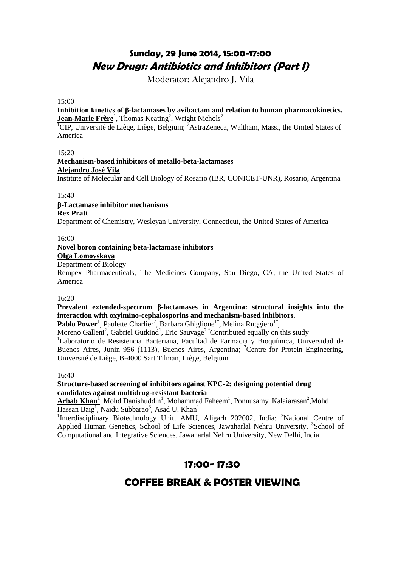### **Sunday, 29 June 2014, 15:00-17:00 New Drugs: Antibiotics and Inhibitors (Part I)**

Moderator: Alejandro J. Vila

#### 15:00

#### **Inhibition kinetics of β-lactamases by avibactam and relation to human pharmacokinetics.** Jean-Marie Frère<sup>1</sup>, Thomas Keating<sup>2</sup>, Wright Nichols<sup>2</sup>

<sup>1</sup>CIP, Université de Liège, Liège, Belgium; <sup>2</sup>AstraZeneca, Waltham, Mass., the United States of America

#### $15:20$

#### **Mechanism-based inhibitors of metallo-beta-lactamases Alejandro José Vila** Institute of Molecular and Cell Biology of Rosario (IBR, CONICET-UNR), Rosario, Argentina

#### $15:40$

#### **-Lactamase inhibitor mechanisms Rex Pratt**

Department of Chemistry, Wesleyan University, Connecticut, the United States of America

#### 16:00

#### **Novel boron containing beta-lactamase inhibitors**

**Olga Lomovskaya**

#### Department of Biology

Rempex Pharmaceuticals, The Medicines Company, San Diego, CA, the United States of America

#### 16:20

#### **Prevalent extended-spectrum β-lactamases in Argentina: structural insights into the interaction with oxyimino-cephalosporins and mechanism-based inhibitors**.

Pablo Power<sup>1</sup>, Paulette Charlier<sup>2</sup>, Barbara Ghiglione<sup>1\*</sup>, Melina Ruggiero<sup>1\*</sup>,

Moreno Galleni<sup>2</sup>, Gabriel Gutkind<sup>1</sup>, Eric Sauvage<sup>2</sup> \* Contributed equally on this study <sup>1</sup>Laboratorio de Resistencia Bacteriana, Facultad de Farmacia y Bioquímica, Universidad de Buenos Aires, Junin 956 (1113), Buenos Aires, Argentina; <sup>2</sup>Centre for Protein Engineering, Université de Liège, B-4000 Sart Tilman, Liège, Belgium

#### 16:40

#### **Structure-based screening of inhibitors against KPC-2: designing potential drug candidates against multidrug-resistant bacteria**

Arbab Khan<sup>1</sup>, Mohd Danishuddin<sup>1</sup>, Mohammad Faheem<sup>1</sup>, Ponnusamy Kalaiarasan<sup>2</sup>, Mohd  $\overline{\text{Hassan Baig}^1}$ , Naidu Subbarao<sup>3</sup>, Asad U. Khan<sup>1</sup>

<sup>1</sup>Interdisciplinary Biotechnology Unit, AMU, Aligarh 202002, India; <sup>2</sup>National Centre of Applied Human Genetics, School of Life Sciences, Jawaharlal Nehru University, <sup>3</sup>School of Computational and Integrative Sciences, Jawaharlal Nehru University, New Delhi, India

### **17:00- 17:30**

### **COFFEE BREAK & POSTER VIEWING**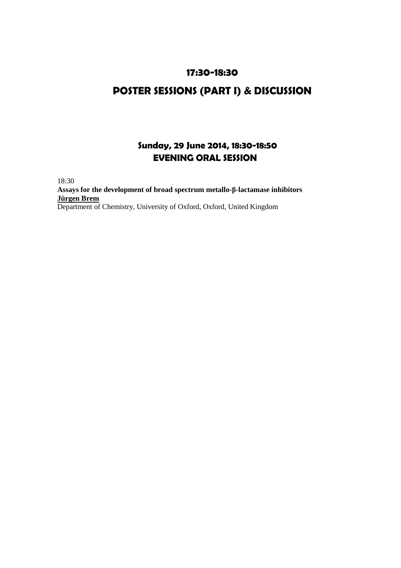### **17:30-18:30**

## **POSTER SESSIONS (PART I) & DISCUSSION**

### **Sunday, 29 June 2014, 18:30-18:50 EVENING ORAL SESSION**

18:30 **Assays for the development of broad spectrum metallo-β-lactamase inhibitors Jürgen Brem**  Department of Chemistry, University of Oxford, Oxford, United Kingdom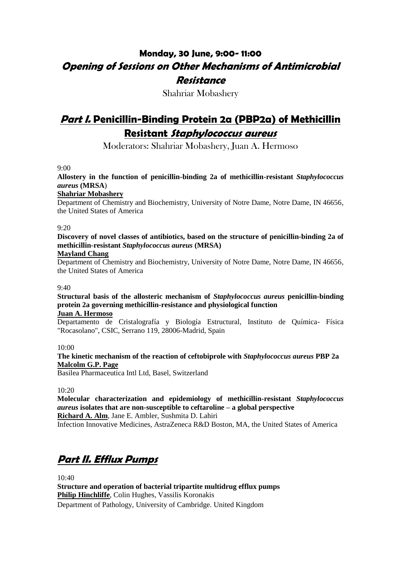## **Monday, 30 June, 9:00- 11:00 Opening of Sessions on Other Mechanisms of Antimicrobial Resistance**

Shahriar Mobashery

## **Part I. Penicillin-Binding Protein 2a (PBP2a) of Methicillin Resistant Staphylococcus aureus**

Moderators: Shahriar Mobashery, Juan A. Hermoso

9:00

**Allostery in the function of penicillin-binding 2a of methicillin-resistant** *Staphylococcus aureus* **(MRSA**)

#### **Shahriar Mobashery**

Department of Chemistry and Biochemistry, University of Notre Dame, Notre Dame, IN 46656, the United States of America

#### 9:20

**Discovery of novel classes of antibiotics, based on the structure of penicillin-binding 2a of methicillin-resistant** *Staphylococcus aureus* **(MRSA)**

#### **Mayland Chang**

Department of Chemistry and Biochemistry, University of Notre Dame, Notre Dame, IN 46656, the United States of America

#### $9.40$

**Structural basis of the allosteric mechanism of** *Staphylococcus aureus* **penicillin-binding protein 2a governing methicillin-resistance and physiological function**

#### **Juan A. Hermoso**

Departamento de Cristalografía y Biología Estructural, Instituto de Química- Física "Rocasolano", CSIC, Serrano 119, 28006-Madrid, Spain

10:00

**The kinetic mechanism of the reaction of ceftobiprole with** *Staphylococcus aureus* **PBP 2a Malcolm G.P. Page**

Basilea Pharmaceutica Intl Ltd, Basel, Switzerland

#### $10.20$

**Molecular characterization and epidemiology of methicillin-resistant** *Staphylococcus aureus* **isolates that are non-susceptible to ceftaroline – a global perspective**

**Richard A. Alm**, Jane E. Ambler, Sushmita D. Lahiri

Infection Innovative Medicines, AstraZeneca R&D Boston, MA, the United States of America

# **Part II. Efflux Pumps**

 $10:40$ 

**Structure and operation of bacterial tripartite multidrug efflux pumps Philip Hinchliffe**, Colin Hughes, Vassilis Koronakis Department of Pathology, University of Cambridge. United Kingdom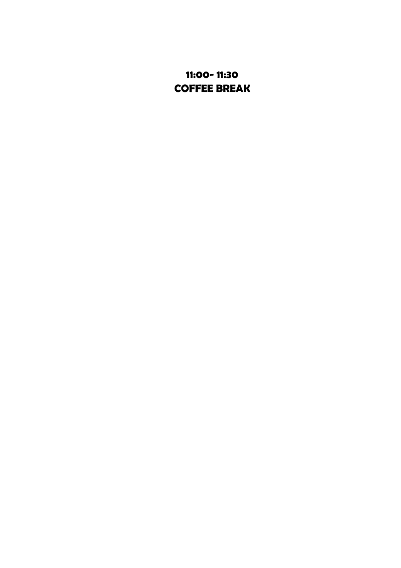## **11:00- 11:30 COFFEE BREAK**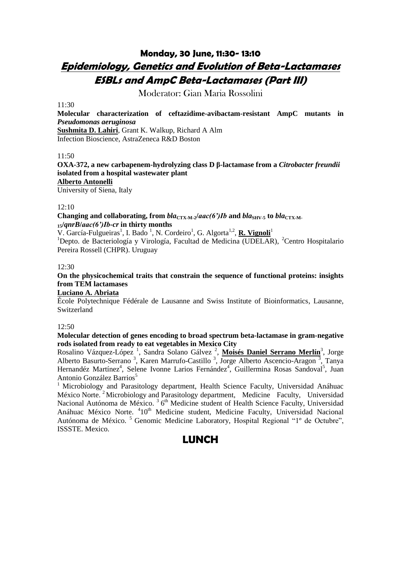## **Monday, 30 June, 11:30- 13:10 Epidemiology, Genetics and Evolution of Beta-Lactamases ESBLs and AmpC Beta-Lactamases (Part III)**

Moderator: Gian Maria Rossolini

#### $11:30$

**Molecular characterization of ceftazidime-avibactam-resistant AmpC mutants in**  *Pseudomonas aeruginosa* **Sushmita D. Lahiri**, Grant K. Walkup, Richard A Alm

Infection Bioscience, AstraZeneca R&D Boston

#### 11:50

**OXA-372, a new carbapenem-hydrolyzing class D β-lactamase from a** *Citrobacter freundii* **isolated from a hospital wastewater plant Alberto Antonelli**

University of Siena, Italy

#### 12:10

**Changing and collaborating, from**  $bla_{\text{CTX-M-2}}/aac(6')$ *Ib* **and**  $bla_{\text{SHV-5}}$  **to**  $bla_{\text{CTX-M-1}}$ **<sup>15</sup>/***qnrB***/***aac(6')Ib-cr* **in thirty months**

V. García-Fulgueiras<sup>1</sup>, I. Bado<sup>1</sup>, N. Cordeiro<sup>1</sup>, G. Algorta<sup>1,2</sup>, **R. Vignoli**<sup>1</sup>

<sup>1</sup>Depto. de Bacteriología y Virología, Facultad de Medicina (UDELAR), <sup>2</sup>Centro Hospitalario Pereira Rossell (CHPR). Uruguay

#### 12:30

**On the physicochemical traits that constrain the sequence of functional proteins: insights from TEM lactamases**

#### **Luciano A. Abriata**

École Polytechnique Fédérale de Lausanne and Swiss Institute of Bioinformatics, Lausanne, Switzerland

#### 12:50

**Molecular detection of genes encoding to broad spectrum beta-lactamase in gram-negative rods isolated from ready to eat vegetables in Mexico City**

Rosalino Vázquez-López<sup>1</sup>, Sandra Solano Gálvez<sup>2</sup>, Moisés Daniel Serrano Merlín<sup>3</sup>, Jorge Alberto Basurto-Serrano<sup>3</sup>, Karen Marrufo-Castillo<sup>3</sup>, Jorge Alberto Ascencio-Aragon<sup>3</sup>, Tanya Hernandéz Martínez<sup>4</sup>, Selene Ivonne Larios Fernández<sup>4</sup>, Guillermina Rosas Sandoval<sup>5</sup>, Juan Antonio González Barrios<sup>5</sup>

<sup>1</sup> Microbiology and Parasitology department, Health Science Faculty, Universidad Anáhuac México Norte.<sup>2</sup> Microbiology and Parasitology department, Medicine Faculty, Universidad Nacional Autónoma de México.<sup>3</sup> 6<sup>th</sup> Medicine student of Health Science Faculty, Universidad Anáhuac México Norte. <sup>4</sup>10<sup>th</sup> Medicine student, Medicine Faculty, Universidad Nacional Autónoma de México.<sup>5</sup> Genomic Medicine Laboratory, Hospital Regional "1° de Octubre", ISSSTE. Mexico.

### **LUNCH**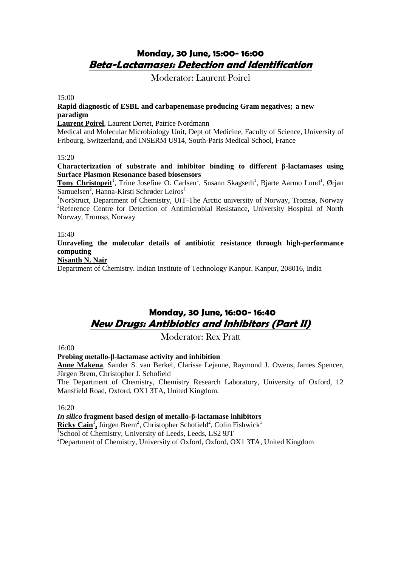### **Monday, 30 June, 15:00- 16:00 Beta-Lactamases: Detection and Identification**

Moderator: Laurent Poirel

15:00

#### **Rapid diagnostic of ESBL and carbapenemase producing Gram negatives; a new paradigm**

**Laurent Poirel**, Laurent Dortet, Patrice Nordmann

Medical and Molecular Microbiology Unit, Dept of Medicine, Faculty of Science, University of Fribourg, Switzerland, and INSERM U914, South-Paris Medical School, France

#### 15:20

**Characterization of substrate and inhibitor binding to different β-lactamases using Surface Plasmon Resonance based biosensors**

Tony Christopeit<sup>1</sup>, Trine Josefine O. Carlsen<sup>1</sup>, Susann Skagseth<sup>1</sup>, Bjarte Aarmo Lund<sup>1</sup>, Ørjan Samuelsen<sup>2</sup>, Hanna-Kirsti Schrøder Leiros<sup>1</sup>

<sup>1</sup>NorStruct, Department of Chemistry, UiT-The Arctic university of Norway, Tromsø, Norway <sup>2</sup>Reference Centre for Detection of Antimicrobial Resistance, University Hospital of North Norway, Tromsø, Norway

15:40

**Unraveling the molecular details of antibiotic resistance through high-performance computing**

#### **Nisanth N. Nair**

Department of Chemistry. Indian Institute of Technology Kanpur. Kanpur, 208016, India

### **Monday, 30 June, 16:00- 16:40 New Drugs: Antibiotics and Inhibitors (Part II)**

Moderator: Rex Pratt

16:00

#### **Probing metallo-β-lactamase activity and inhibition**

**Anne Makena**, Sander S. van Berkel, Clarisse Lejeune, Raymond J*.* Owens, James Spencer, Jürgen Brem, Christopher J. Schofield

The Department of Chemistry, Chemistry Research Laboratory, University of Oxford, 12 Mansfield Road, Oxford, OX1 3TA, United Kingdom.

16:20

#### *In silico* **fragment based design of metallo-β-lactamase inhibitors**

Ricky Cain<sup>1</sup>, Jürgen Brem<sup>2</sup>, Christopher Schofield<sup>2</sup>, Colin Fishwick<sup>1</sup>

<sup>1</sup>School of Chemistry, University of Leeds, Leeds, LS2 9JT

<sup>2</sup>Department of Chemistry, University of Oxford, Oxford, OX1 3TA, United Kingdom